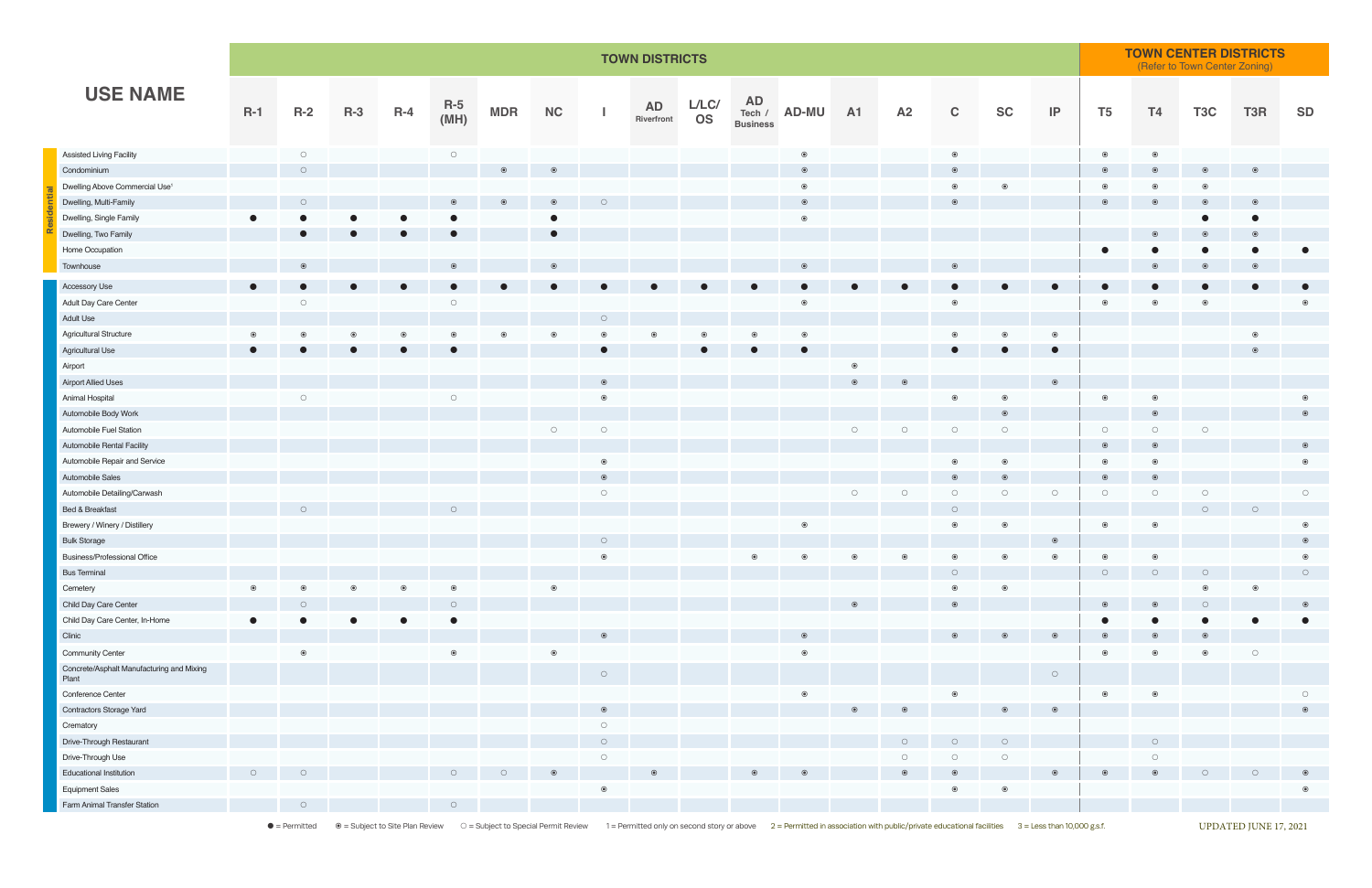**Residential**

• Permitted 
® = Subject to Site Plan Review 
© = Subject to Site Plan Review 
© = Subject to Special Permit Review 1 = Permitted only on second story or above 2 = Permitted in association with public/private educational f

|                                                    |                     |                     | <b>TOWN DISTRICTS</b> |           |                     |            |           |                     |                    |                    |                 |                    |                |                     |                     |                     |                     |                | <b>TOWN CENTER DISTRICTS</b><br>(Refer to Town Center Zoning) |                  |                |                     |  |  |
|----------------------------------------------------|---------------------|---------------------|-----------------------|-----------|---------------------|------------|-----------|---------------------|--------------------|--------------------|-----------------|--------------------|----------------|---------------------|---------------------|---------------------|---------------------|----------------|---------------------------------------------------------------|------------------|----------------|---------------------|--|--|
| <b>USE NAME</b>                                    | $R-1$               | $R-2$               | $R-3$                 | $R-4$     | R-5<br>(MH)         | <b>MDR</b> | NC        |                     | $AD$<br>Riverfront | L/LC/<br><b>OS</b> | <b>Business</b> | AD<br>Tech / AD-MU | <b>A1</b>      | A2                  | $\mathbf C$         | <b>SC</b>           | $\sf IP$            | T <sub>5</sub> | T4                                                            | T <sub>3</sub> C | T3R            | <b>SD</b>           |  |  |
| Assisted Living Facility                           |                     | $\circ$             |                       |           | $\bigcirc$          |            |           |                     |                    |                    |                 | $\circledcirc$     |                |                     | $\circledcirc$      |                     |                     | $\circledcirc$ | $\circledcirc$                                                |                  |                |                     |  |  |
| Condominium                                        |                     | $\circ$             |                       |           |                     |            |           |                     |                    |                    |                 | $\circledcirc$     |                |                     | $\circledcirc$      |                     |                     |                | $\circledcirc$                                                |                  | $\odot$        |                     |  |  |
| Dwelling Above Commercial Use <sup>1</sup>         |                     |                     |                       |           |                     |            |           |                     |                    |                    |                 | $\circledcirc$     |                |                     | $\circledcirc$      | ◉                   |                     |                | $\circledcirc$                                                |                  |                |                     |  |  |
| Dwelling, Multi-Family                             |                     | $\bigcirc$          |                       |           |                     |            | $\odot$   |                     |                    |                    |                 | $\odot$            |                |                     | $\odot$             |                     |                     |                | $\odot$                                                       |                  |                |                     |  |  |
| Dwelling, Single Family                            |                     |                     |                       | $\bullet$ |                     |            | $\bullet$ |                     |                    |                    |                 | $\circledcirc$     |                |                     |                     |                     |                     |                |                                                               |                  |                |                     |  |  |
| Dwelling, Two Family                               |                     | $\bullet$           |                       | $\bullet$ | $\bullet$           |            |           |                     |                    |                    |                 |                    |                |                     |                     |                     |                     |                |                                                               |                  | $\odot$        |                     |  |  |
| Home Occupation                                    |                     |                     |                       |           |                     |            |           |                     |                    |                    |                 |                    |                |                     |                     |                     |                     |                |                                                               |                  |                |                     |  |  |
| Townhouse                                          |                     |                     |                       |           |                     |            |           |                     |                    |                    |                 |                    |                |                     | $\odot$             |                     |                     |                | $\circledcirc$                                                |                  |                |                     |  |  |
| Accessory Use                                      | $\bullet$           | $\bullet$           |                       | $\bullet$ | $\bullet$           |            |           |                     |                    |                    | $\bullet$       | $\bullet$          |                | $\bullet$           | $\bullet$           |                     | $\bullet$           |                |                                                               |                  |                | $\bullet$           |  |  |
| Adult Day Care Center                              |                     | $\circ$             |                       |           | $\bigcirc$          |            |           |                     |                    |                    |                 | $\circledcirc$     |                |                     | $\circledcirc$      |                     |                     |                |                                                               |                  |                |                     |  |  |
| Adult Use                                          |                     |                     |                       |           |                     |            |           | $\bigcirc$          |                    |                    |                 |                    |                |                     |                     |                     |                     |                |                                                               |                  |                |                     |  |  |
| Agricultural Structure                             | $\circledcirc$      | $\odot$             |                       |           |                     |            |           |                     |                    |                    | $\odot$         | $\circledcirc$     |                |                     | $\circledbullet$    | $\odot$             | $\circledcirc$      |                |                                                               |                  | $\circledcirc$ |                     |  |  |
| Agricultural Use                                   | $\bullet$           |                     |                       |           |                     |            |           |                     |                    |                    |                 | $\bullet$          |                |                     | $\bullet$           |                     | $\bullet$           |                |                                                               |                  |                |                     |  |  |
| Airport                                            |                     |                     |                       |           |                     |            |           |                     |                    |                    |                 |                    | $\circledcirc$ |                     |                     |                     |                     |                |                                                               |                  |                |                     |  |  |
| <b>Airport Allied Uses</b>                         |                     |                     |                       |           |                     |            |           | $\odot$             |                    |                    |                 |                    | $\circledcirc$ |                     |                     |                     |                     |                |                                                               |                  |                |                     |  |  |
| Animal Hospital                                    |                     | $\circ$             |                       |           | $\bigcirc$          |            |           | $\bullet$           |                    |                    |                 |                    |                |                     | $\circledcirc$      | $\circledcirc$      |                     | $\bullet$      | $\odot$                                                       |                  |                | $\circledcirc$      |  |  |
| Automobile Body Work                               |                     |                     |                       |           |                     |            |           |                     |                    |                    |                 |                    |                |                     |                     | $\odot$             |                     |                | $\odot$                                                       |                  |                | $\odot$             |  |  |
| Automobile Fuel Station                            |                     |                     |                       |           |                     |            | $\circ$   | $\bigcirc$          |                    |                    |                 |                    | $\circ$        | $\bigcirc$          | $\circ$             | $\bigcirc$          |                     | $\circ$        | $\circ$                                                       | $\circ$          |                |                     |  |  |
| Automobile Rental Facility                         |                     |                     |                       |           |                     |            |           |                     |                    |                    |                 |                    |                |                     |                     |                     |                     |                | $\odot$                                                       |                  |                | $\circledcirc$      |  |  |
| Automobile Repair and Service                      |                     |                     |                       |           |                     |            |           | $\odot$             |                    |                    |                 |                    |                |                     | $\circledcirc$      | $\odot$             |                     | $\odot$        | $\circledcirc$                                                |                  |                | $\circledcirc$      |  |  |
| Automobile Sales                                   |                     |                     |                       |           |                     |            |           | $\odot$             |                    |                    |                 |                    |                |                     | $\odot$             |                     |                     |                | $\circledcirc$                                                |                  |                |                     |  |  |
| Automobile Detailing/Carwash                       |                     |                     |                       |           |                     |            |           | $\circlearrowright$ |                    |                    |                 |                    | $\circ$        | $\circ$             | $\circlearrowright$ | $\circ$             | $\circlearrowright$ | $\bigcirc$     | $\bigcirc$                                                    | $\circ$          |                | $\circlearrowright$ |  |  |
| Bed & Breakfast                                    |                     | $\circlearrowright$ |                       |           | $\circ$             |            |           |                     |                    |                    |                 |                    |                |                     | $\circ$             |                     |                     |                |                                                               | $\circ$          | $\circ$        |                     |  |  |
| Brewery / Winery / Distillery                      |                     |                     |                       |           |                     |            |           |                     |                    |                    |                 | $\circledcirc$     |                |                     | $\circledcirc$      | $\circledcirc$      |                     | $\odot$        | $\circledcirc$                                                |                  |                | $\circledcirc$      |  |  |
| <b>Bulk Storage</b>                                |                     |                     |                       |           |                     |            |           | $\bigcap$           |                    |                    |                 |                    |                |                     |                     |                     | $\circ$             |                |                                                               |                  |                | $\odot$             |  |  |
| <b>Business/Professional Office</b>                |                     |                     |                       |           |                     |            |           | $\bullet$           |                    |                    | $\odot$         |                    |                |                     | $\odot$             |                     |                     |                | $\odot$                                                       |                  |                |                     |  |  |
| <b>Bus Terminal</b>                                |                     |                     |                       |           |                     |            |           |                     |                    |                    |                 |                    |                |                     | $\circ$             |                     |                     |                | $\circ$                                                       |                  |                | $\circ$             |  |  |
| Cemetery                                           | $\odot$             | $\odot$             | ⋒                     | $\odot$   | $\circledcirc$      |            |           |                     |                    |                    |                 |                    |                |                     | $\circledcirc$      | $\odot$             |                     |                |                                                               | $\odot$          | $\circledcirc$ |                     |  |  |
| Child Day Care Center                              |                     | $\bigcap$           |                       |           | $\bigcirc$          |            |           |                     |                    |                    |                 |                    |                |                     |                     |                     |                     |                |                                                               | $\bigcap$        |                | $\odot$             |  |  |
| Child Day Care Center, In-Home                     | $\bullet$           |                     |                       |           | $\bullet$           |            |           |                     |                    |                    |                 |                    |                |                     |                     |                     |                     |                |                                                               |                  |                |                     |  |  |
| Clinic                                             |                     |                     |                       |           |                     |            |           |                     |                    |                    |                 |                    |                |                     | $\odot$             |                     |                     |                |                                                               |                  |                |                     |  |  |
| <b>Community Center</b>                            |                     | $\circledcirc$      |                       |           | $\circledcirc$      |            |           |                     |                    |                    |                 | $\circledcirc$     |                |                     |                     |                     |                     | $\odot$        | $\circledcirc$                                                | $\odot$          | $\circ$        |                     |  |  |
| Concrete/Asphalt Manufacturing and Mixing<br>Plant |                     |                     |                       |           |                     |            |           | $\circ$             |                    |                    |                 |                    |                |                     |                     |                     | $\circ$             |                |                                                               |                  |                |                     |  |  |
| Conference Center                                  |                     |                     |                       |           |                     |            |           |                     |                    |                    |                 | $\odot$            |                |                     | $\circledcirc$      |                     |                     | $\odot$        | $\circledcirc$                                                |                  |                | $\circ$             |  |  |
| Contractors Storage Yard                           |                     |                     |                       |           |                     |            |           |                     |                    |                    |                 |                    |                |                     |                     |                     |                     |                |                                                               |                  |                |                     |  |  |
| Crematory                                          |                     |                     |                       |           |                     |            |           | $\circ$             |                    |                    |                 |                    |                |                     |                     |                     |                     |                |                                                               |                  |                |                     |  |  |
| Drive-Through Restaurant                           |                     |                     |                       |           |                     |            |           | $\circ$             |                    |                    |                 |                    |                | $\circ$             | $\circ$             | $\circ$             |                     |                | $\circ$                                                       |                  |                |                     |  |  |
| Drive-Through Use                                  |                     |                     |                       |           |                     |            |           | $\bigcirc$          |                    |                    |                 |                    |                | $\circlearrowright$ | $\circlearrowright$ | $\circlearrowright$ |                     |                | $\bigcirc$                                                    |                  |                |                     |  |  |
| <b>Educational Institution</b>                     | $\circlearrowright$ | $\circ$             |                       |           | $\circ$             |            |           |                     |                    |                    |                 |                    |                |                     |                     |                     |                     |                |                                                               |                  |                |                     |  |  |
| <b>Equipment Sales</b>                             |                     |                     |                       |           |                     |            |           | $\circledcirc$      |                    |                    |                 |                    |                |                     | $\circledcirc$      | $_{\odot}$          |                     |                |                                                               |                  |                |                     |  |  |
| Farm Animal Transfer Station                       |                     | $\circ$             |                       |           | $\circlearrowright$ |            |           |                     |                    |                    |                 |                    |                |                     |                     |                     |                     |                |                                                               |                  |                |                     |  |  |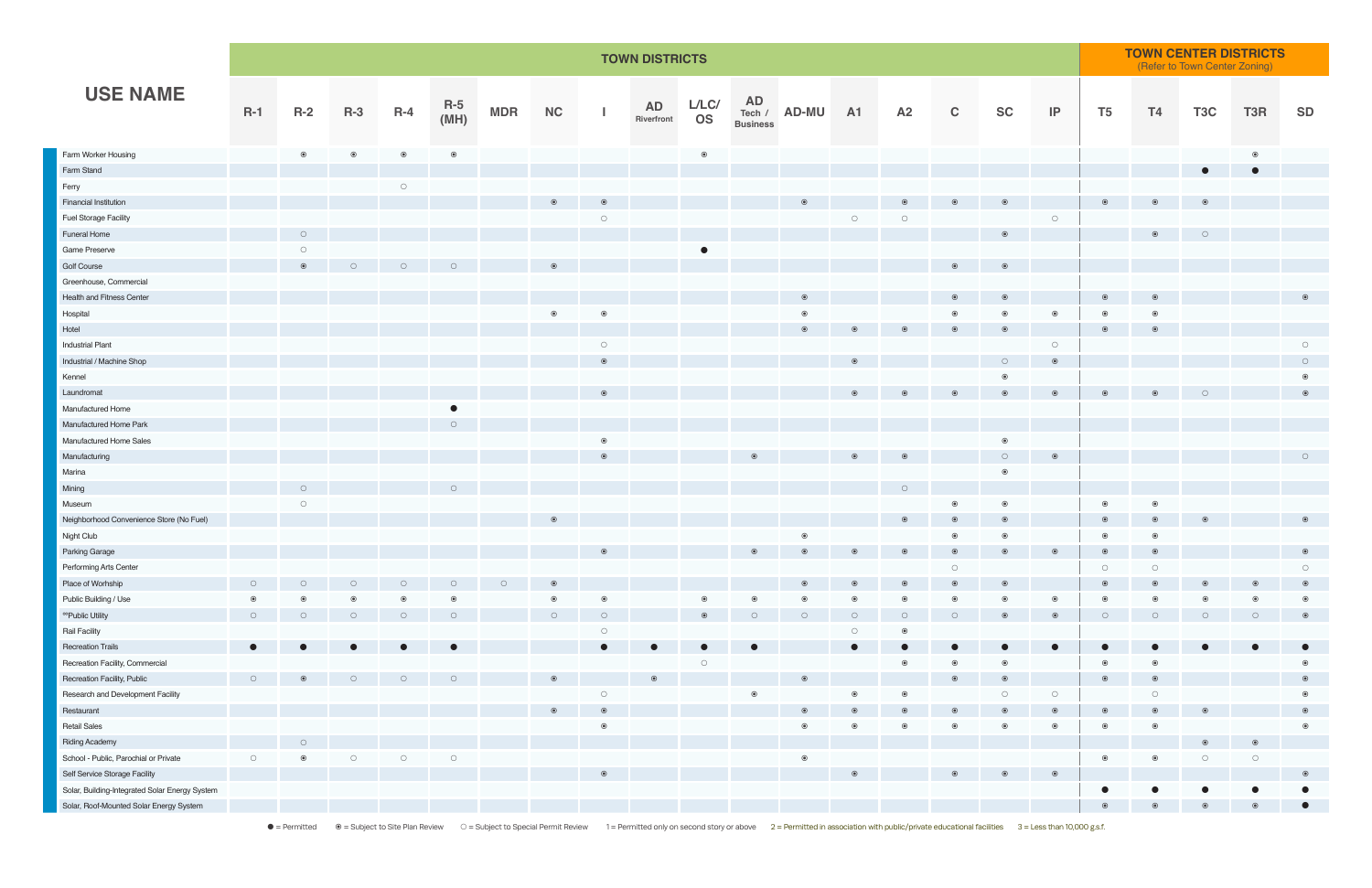|                                                | <b>TOWN DISTRICTS</b> |                     |                |                     |                |            |            |                     |                         |                    |                              |                |                     |                |                | <b>TOWN CENTER DISTRICTS</b><br>(Refer to Town Center Zoning) |                     |                |                |                     |                     |                     |
|------------------------------------------------|-----------------------|---------------------|----------------|---------------------|----------------|------------|------------|---------------------|-------------------------|--------------------|------------------------------|----------------|---------------------|----------------|----------------|---------------------------------------------------------------|---------------------|----------------|----------------|---------------------|---------------------|---------------------|
| <b>USE NAME</b>                                | $R-1$                 | $R-2$               | $R-3$          | $R-4$               | $R-5$<br>(MH)  | <b>MDR</b> | <b>NC</b>  |                     | <b>AD</b><br>Riverfront | L/LC/<br><b>OS</b> | <b>AD</b><br><b>Business</b> | Tech / AD-MU   | <b>A1</b>           | A2             | $\mathbf C$    | <b>SC</b>                                                     | P                   | T <sub>5</sub> | T4             | T <sub>3</sub> C    | T3R                 | <b>SD</b>           |
| Farm Worker Housing                            |                       | $\circledcirc$      | $\circledcirc$ | $\circledcirc$      | $\circledcirc$ |            |            |                     |                         | $_{\odot}$         |                              |                |                     |                |                |                                                               |                     |                |                |                     | $\odot$             |                     |
| Farm Stand                                     |                       |                     |                |                     |                |            |            |                     |                         |                    |                              |                |                     |                |                |                                                               |                     |                |                | $\bullet$           | $\bullet$           |                     |
| Ferry                                          |                       |                     |                | $\bigcirc$          |                |            |            |                     |                         |                    |                              |                |                     |                |                |                                                               |                     |                |                |                     |                     |                     |
| <b>Financial Institution</b>                   |                       |                     |                |                     |                |            |            |                     |                         |                    |                              |                |                     |                |                |                                                               |                     |                |                |                     |                     |                     |
| <b>Fuel Storage Facility</b>                   |                       |                     |                |                     |                |            |            | $\circ$             |                         |                    |                              |                | $\circlearrowright$ | $\circ$        |                |                                                               | $\circ$             |                |                |                     |                     |                     |
| <b>Funeral Home</b>                            |                       | $\circlearrowright$ |                |                     |                |            |            |                     |                         |                    |                              |                |                     |                |                | $\odot$                                                       |                     |                | $\circledcirc$ | $\circ$             |                     |                     |
| Game Preserve                                  |                       | $\circlearrowright$ |                |                     |                |            |            |                     |                         |                    |                              |                |                     |                |                |                                                               |                     |                |                |                     |                     |                     |
| Golf Course                                    |                       |                     | $\bigcirc$     | $\circ$             | ∩              |            |            |                     |                         |                    |                              |                |                     |                | $\odot$        | $\odot$                                                       |                     |                |                |                     |                     |                     |
| Greenhouse, Commercial                         |                       |                     |                |                     |                |            |            |                     |                         |                    |                              |                |                     |                |                |                                                               |                     |                |                |                     |                     |                     |
| Health and Fitness Center                      |                       |                     |                |                     |                |            |            |                     |                         |                    |                              |                |                     |                | $\circledcirc$ | $\odot$                                                       |                     |                | $\odot$        |                     |                     | $\odot$             |
| Hospital                                       |                       |                     |                |                     |                |            | $_{\odot}$ | $\epsilon$          |                         |                    |                              |                |                     |                | $\circledcirc$ | $\odot$                                                       | $\odot$             |                | $\circledcirc$ |                     |                     |                     |
| Hotel                                          |                       |                     |                |                     |                |            |            |                     |                         |                    |                              |                |                     |                |                |                                                               |                     |                |                |                     |                     |                     |
| <b>Industrial Plant</b>                        |                       |                     |                |                     |                |            |            | $\circlearrowright$ |                         |                    |                              |                |                     |                |                |                                                               | $\circ$             |                |                |                     |                     | $\circlearrowright$ |
| Industrial / Machine Shop                      |                       |                     |                |                     |                |            |            |                     |                         |                    |                              |                |                     |                |                | $\circ$                                                       | $\odot$             |                |                |                     |                     | $\circ$             |
| Kennel                                         |                       |                     |                |                     |                |            |            |                     |                         |                    |                              |                |                     |                |                | $_{\odot}$                                                    |                     |                |                |                     |                     | $\odot$             |
| Laundromat                                     |                       |                     |                |                     |                |            |            |                     |                         |                    |                              |                |                     |                |                |                                                               | $\odot$             |                | $\odot$        | $\circ$             |                     | $\circledcirc$      |
| Manufactured Home                              |                       |                     |                |                     | O              |            |            |                     |                         |                    |                              |                |                     |                |                |                                                               |                     |                |                |                     |                     |                     |
| Manufactured Home Park                         |                       |                     |                |                     | $\circ$        |            |            |                     |                         |                    |                              |                |                     |                |                |                                                               |                     |                |                |                     |                     |                     |
| Manufactured Home Sales                        |                       |                     |                |                     |                |            |            |                     |                         |                    |                              |                |                     |                |                | $\circledcirc$                                                |                     |                |                |                     |                     |                     |
| Manufacturing                                  |                       |                     |                |                     |                |            |            |                     |                         |                    |                              |                |                     |                |                | $\circ$                                                       | $\odot$             |                |                |                     |                     | $\circlearrowright$ |
| Marina                                         |                       |                     |                |                     |                |            |            |                     |                         |                    |                              |                |                     |                |                | $\circledcirc$                                                |                     |                |                |                     |                     |                     |
| Mining                                         |                       | $\circlearrowright$ |                |                     | $\circ$        |            |            |                     |                         |                    |                              |                |                     | $\circ$        |                |                                                               |                     |                |                |                     |                     |                     |
| Museum                                         |                       | $\circlearrowright$ |                |                     |                |            |            |                     |                         |                    |                              |                |                     |                | $\circledcirc$ | $_{\odot}$                                                    |                     | $\circledcirc$ | $\circledcirc$ |                     |                     |                     |
| Neighborhood Convenience Store (No Fuel)       |                       |                     |                |                     |                |            |            |                     |                         |                    |                              |                |                     | $\odot$        | $\odot$        | $\odot$                                                       |                     |                | $\odot$        |                     |                     | $\odot$             |
| Night Club                                     |                       |                     |                |                     |                |            |            |                     |                         |                    |                              | $\odot$        |                     |                | $\circledcirc$ | $_{\odot}$                                                    |                     | $\odot$        | $\circledcirc$ |                     |                     |                     |
| Parking Garage                                 |                       |                     |                |                     |                |            |            | $\circledcirc$      |                         |                    | $\odot$                      | $\circledcirc$ | $\circledcirc$      | $\circledcirc$ | $\circledcirc$ |                                                               | $\odot$             | $\odot$        | $\odot$        |                     |                     | $\odot$             |
| Performing Arts Center                         |                       |                     |                |                     |                |            |            |                     |                         |                    |                              |                |                     |                | $\circ$        |                                                               |                     | $\circ$        | $\circ$        |                     |                     | $\circ$             |
| Place of Worhship                              | $\circ$               | $\circ$             | $\circ$        | $\circlearrowright$ | $\circ$        | $\circ$    |            |                     |                         |                    |                              |                |                     |                | $\odot$        |                                                               |                     | $\odot$        | $\circledcirc$ |                     | $\odot$             | $\circledcirc$      |
| Public Building / Use                          | $\circledcirc$        | $\odot$             | $\odot$        | $\circledcirc$      | $\circ$        |            | $\odot$    | $\bullet$           |                         | $\odot$            | $\odot$                      |                | $\odot$             | $\odot$        | $\circledcirc$ | ◉                                                             | $\circledcirc$      | $\odot$        | $\bullet$      |                     | ◉                   | $\circledcirc$      |
| <sup>oo</sup> Public Utility                   | $\circ$               | $\circ$             | $\circ$        | $\circ$             | $\circ$        |            | $\circ$    | $\bigcirc$          |                         | $\odot$            | $\bigcirc$                   | $\circ$        | $\circ$             | $\bigcirc$     | $\circ$        |                                                               | $\odot$             | $\circ$        | $\circ$        | $\bigcap$           | $\circ$             | $\circledcirc$      |
| Rail Facility                                  |                       |                     |                |                     |                |            |            | $\circlearrowright$ |                         |                    |                              |                | $\circlearrowright$ | $\circledcirc$ |                |                                                               |                     |                |                |                     |                     |                     |
| <b>Recreation Trails</b>                       | $\bullet$             | $\bullet$           |                | $\bullet$           |                |            |            | $\bullet$           |                         |                    |                              |                | $\bullet$           | $\bullet$      | $\bullet$      | $\bullet$                                                     | $\bullet$           | $\bullet$      | $\bullet$      | $\bullet$           | $\bullet$           | $\bullet$           |
| Recreation Facility, Commercial                |                       |                     |                |                     |                |            |            |                     |                         | $\circ$            |                              |                |                     | $\circledcirc$ | $\circledcirc$ | $\circledcirc$                                                |                     |                | $\circledcirc$ |                     |                     |                     |
| Recreation Facility, Public                    | $\circ$               |                     | $\bigcirc$     | $\circ$             |                |            |            |                     |                         |                    |                              |                |                     |                | $\circledcirc$ | $\odot$                                                       |                     | $\circledcirc$ | $\circledcirc$ |                     |                     | $\odot$             |
| Research and Development Facility              |                       |                     |                |                     |                |            |            | $\circlearrowright$ |                         |                    | $_{\odot}$                   |                | $\circledcirc$      | $\circledcirc$ |                | $\circlearrowright$                                           | $\circlearrowright$ |                | $\bigcirc$     |                     |                     | $\circledcirc$      |
| Restaurant                                     |                       |                     |                |                     |                |            |            | $\odot$             |                         |                    |                              |                |                     |                | $\odot$        |                                                               | $\odot$             |                | $\odot$        |                     |                     | $\odot$             |
| <b>Retail Sales</b>                            |                       |                     |                |                     |                |            |            | $\bullet$           |                         |                    |                              | $\odot$        | $\odot$             | $\odot$        | $\odot$        | $\odot$                                                       | $\circledcirc$      | $\odot$        | $\circledcirc$ |                     |                     | $\odot$             |
| <b>Riding Academy</b>                          |                       | $\circ$             |                |                     |                |            |            |                     |                         |                    |                              |                |                     |                |                |                                                               |                     |                |                | $\odot$             | $\circledcirc$      |                     |
| School - Public, Parochial or Private          | $\bigcirc$            |                     | $\bigcirc$     | $\bigcirc$          | $\bigcirc$     |            |            |                     |                         |                    |                              | $\circledcirc$ |                     |                |                |                                                               |                     | $\odot$        | $\odot$        | $\circlearrowright$ | $\circlearrowright$ |                     |
| Self Service Storage Facility                  |                       |                     |                |                     |                |            |            |                     |                         |                    |                              |                |                     |                |                |                                                               | $\circledcirc$      |                |                |                     |                     | $\odot$             |
| Solar, Building-Integrated Solar Energy System |                       |                     |                |                     |                |            |            |                     |                         |                    |                              |                |                     |                |                |                                                               |                     |                |                |                     |                     |                     |
| Solar, Roof-Mounted Solar Energy System        |                       |                     |                |                     |                |            |            |                     |                         |                    |                              |                |                     |                |                |                                                               |                     | $\odot$        |                |                     | $\odot$             | $\bullet$           |

 $\bullet = \text{Permitted} \qquad \bullet = \text{Subject to Site Plan Review} \qquad \bigcirc = \text{Subject to Special Permit Review} \qquad 1 = \text{Permitted only on second story or above} \qquad 2 = \text{Permitted in association with public/private educational facilities} \qquad 3 = \text{Less than 10,000 g.s.f.}$